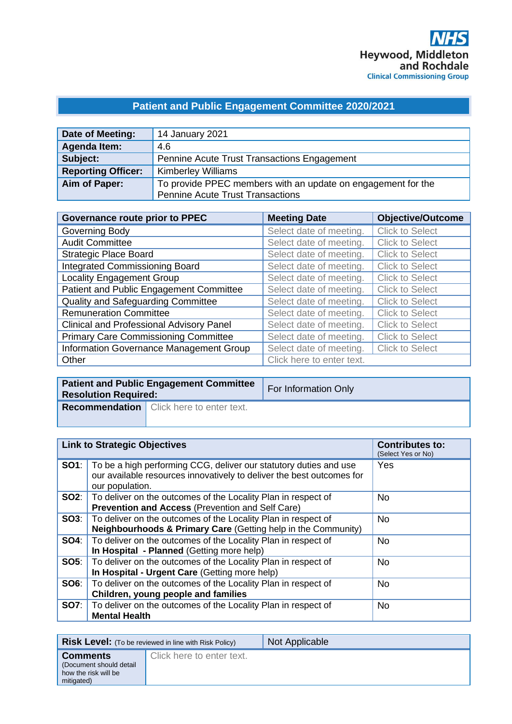# **Patient and Public Engagement Committee 2020/2021**

| Date of Meeting:          | 14 January 2021                                              |
|---------------------------|--------------------------------------------------------------|
| Agenda Item:              | 4.6                                                          |
| Subject:                  | Pennine Acute Trust Transactions Engagement                  |
| <b>Reporting Officer:</b> | <b>Kimberley Williams</b>                                    |
| Aim of Paper:             | To provide PPEC members with an update on engagement for the |
|                           | <b>Pennine Acute Trust Transactions</b>                      |

| Governance route prior to PPEC                  | <b>Meeting Date</b>       | <b>Objective/Outcome</b> |
|-------------------------------------------------|---------------------------|--------------------------|
| Governing Body                                  | Select date of meeting.   | <b>Click to Select</b>   |
| <b>Audit Committee</b>                          | Select date of meeting.   | <b>Click to Select</b>   |
| <b>Strategic Place Board</b>                    | Select date of meeting.   | <b>Click to Select</b>   |
| <b>Integrated Commissioning Board</b>           | Select date of meeting.   | <b>Click to Select</b>   |
| <b>Locality Engagement Group</b>                | Select date of meeting.   | <b>Click to Select</b>   |
| Patient and Public Engagement Committee         | Select date of meeting.   | <b>Click to Select</b>   |
| Quality and Safeguarding Committee              | Select date of meeting.   | <b>Click to Select</b>   |
| <b>Remuneration Committee</b>                   | Select date of meeting.   | <b>Click to Select</b>   |
| <b>Clinical and Professional Advisory Panel</b> | Select date of meeting.   | <b>Click to Select</b>   |
| <b>Primary Care Commissioning Committee</b>     | Select date of meeting.   | <b>Click to Select</b>   |
| Information Governance Management Group         | Select date of meeting.   | <b>Click to Select</b>   |
| Other                                           | Click here to enter text. |                          |

| <b>Patient and Public Engagement Committee</b><br><b>Resolution Required:</b> |                                                 | <b>For Information Only</b> |
|-------------------------------------------------------------------------------|-------------------------------------------------|-----------------------------|
|                                                                               | <b>Recommendation</b> Click here to enter text. |                             |

| <b>Link to Strategic Objectives</b>                                                                                                                                        | <b>Contributes to:</b><br>(Select Yes or No) |
|----------------------------------------------------------------------------------------------------------------------------------------------------------------------------|----------------------------------------------|
| <b>SO1</b> : To be a high performing CCG, deliver our statutory duties and use<br>our available resources innovatively to deliver the best outcomes for<br>our population. | Yes                                          |
| <b>SO2:</b> To deliver on the outcomes of the Locality Plan in respect of<br><b>Prevention and Access (Prevention and Self Care)</b>                                       | N <sub>o</sub>                               |
| <b>SO3:</b>   To deliver on the outcomes of the Locality Plan in respect of<br>Neighbourhoods & Primary Care (Getting help in the Community)                               | <b>No</b>                                    |
| <b>SO4:</b> To deliver on the outcomes of the Locality Plan in respect of<br>In Hospital - Planned (Getting more help)                                                     | <b>No</b>                                    |
| <b>SO5:</b> To deliver on the outcomes of the Locality Plan in respect of<br>In Hospital - Urgent Care (Getting more help)                                                 | <b>No</b>                                    |
| <b>SO6:</b>   To deliver on the outcomes of the Locality Plan in respect of<br>Children, young people and families                                                         | <b>No</b>                                    |
| <b>SO7:</b> To deliver on the outcomes of the Locality Plan in respect of<br><b>Mental Health</b>                                                                          | <b>No</b>                                    |

| <b>Risk Level:</b> (To be reviewed in line with Risk Policy)                     |                           | Not Applicable |
|----------------------------------------------------------------------------------|---------------------------|----------------|
| <b>Comments</b><br>(Document should detail<br>how the risk will be<br>mitigated) | Click here to enter text. |                |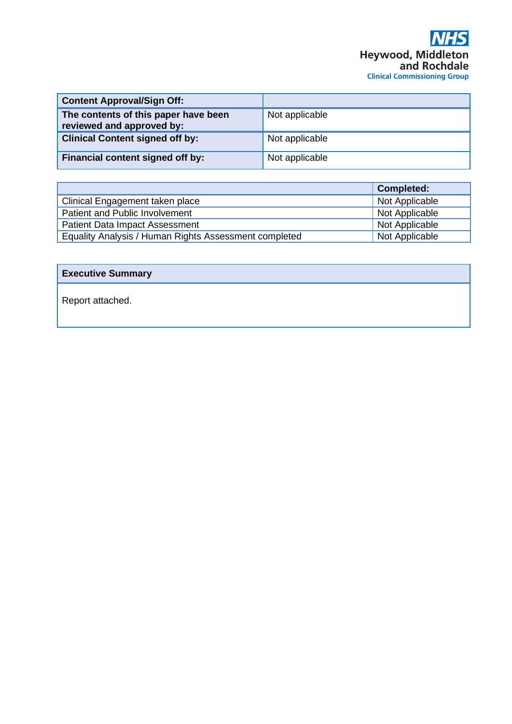| <b>Content Approval/Sign Off:</b>                                 |                |
|-------------------------------------------------------------------|----------------|
| The contents of this paper have been<br>reviewed and approved by: | Not applicable |
| <b>Clinical Content signed off by:</b>                            | Not applicable |
| Financial content signed off by:                                  | Not applicable |

|                                                       | <b>Completed:</b> |
|-------------------------------------------------------|-------------------|
| Clinical Engagement taken place                       | Not Applicable    |
| Patient and Public Involvement                        | Not Applicable    |
| <b>Patient Data Impact Assessment</b>                 | Not Applicable    |
| Equality Analysis / Human Rights Assessment completed | Not Applicable    |

# **Executive Summary**

Report attached.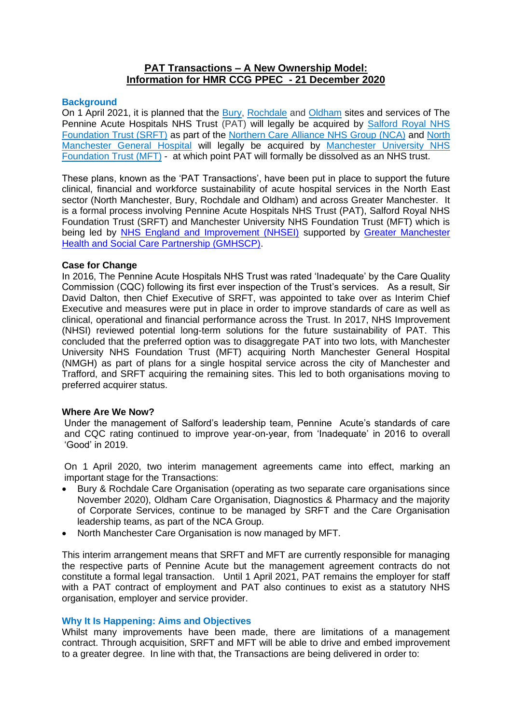# **PAT Transactions – A New Ownership Model: Information for HMR CCG PPEC - 21 December 2020**

## **Background**

On 1 April 2021, it is planned that the [Bury,](https://www.pat.nhs.uk/downloads/board/trust-profiles/bury-care-organisation.htm) [Rochdale](https://www.pat.nhs.uk/downloads/board/trust-profiles/rochdale-care-organisation.htm) and [Oldham](https://www.pat.nhs.uk/downloads/board/trust-profiles/oldham-care-organisation.htm) sites and services of The Pennine Acute Hospitals NHS Trust (PAT) will legally be acquired by [Salford Royal NHS](https://www.srft.nhs.uk/about-us/)  [Foundation Trust \(SRFT\)](https://www.srft.nhs.uk/about-us/) as part of the [Northern Care Alliance NHS Group \(NCA\)](https://www.northerncarealliance.nhs.uk/) and [North](https://www.pat.nhs.uk/downloads/board/trust-profiles/north-manchester-care-organisation.htm)  [Manchester General Hospital](https://www.pat.nhs.uk/downloads/board/trust-profiles/north-manchester-care-organisation.htm) will legally be acquired by [Manchester University NHS](https://mft.nhs.uk/)  [Foundation Trust](https://mft.nhs.uk/) (MFT) - at which point PAT will formally be dissolved as an NHS trust.

These plans, known as the 'PAT Transactions', have been put in place to support the future clinical, financial and workforce sustainability of acute hospital services in the North East sector (North Manchester, Bury, Rochdale and Oldham) and across Greater Manchester. It is a formal process involving Pennine Acute Hospitals NHS Trust (PAT), Salford Royal NHS Foundation Trust (SRFT) and Manchester University NHS Foundation Trust (MFT) which is being led by [NHS England and Improvement \(NHSEI\)](https://improvement.nhs.uk/about-us/what-we-do/) supported by [Greater Manchester](https://www.gmhsc.org.uk/)  [Health and Social Care Partnership \(GMHSCP\).](https://www.gmhsc.org.uk/)

## **Case for Change**

In 2016, The Pennine Acute Hospitals NHS Trust was rated 'Inadequate' by the Care Quality Commission (CQC) following its first ever inspection of the Trust's services. As a result, Sir David Dalton, then Chief Executive of SRFT, was appointed to take over as Interim Chief Executive and measures were put in place in order to improve standards of care as well as clinical, operational and financial performance across the Trust. In 2017, NHS Improvement (NHSI) reviewed potential long-term solutions for the future sustainability of PAT. This concluded that the preferred option was to disaggregate PAT into two lots, with Manchester University NHS Foundation Trust (MFT) acquiring North Manchester General Hospital (NMGH) as part of plans for a single hospital service across the city of Manchester and Trafford, and SRFT acquiring the remaining sites. This led to both organisations moving to preferred acquirer status.

### **Where Are We Now?**

Under the management of Salford's leadership team, Pennine Acute's standards of care and CQC rating continued to improve year-on-year, from 'Inadequate' in 2016 to overall 'Good' in 2019.

On 1 April 2020, two interim management agreements came into effect, marking an important stage for the Transactions:

- Bury & Rochdale Care Organisation (operating as two separate care organisations since November 2020), Oldham Care Organisation, Diagnostics & Pharmacy and the majority of Corporate Services, continue to be managed by SRFT and the Care Organisation leadership teams, as part of the NCA Group.
- North Manchester Care Organisation is now managed by MFT.

This interim arrangement means that SRFT and MFT are currently responsible for managing the respective parts of Pennine Acute but the management agreement contracts do not constitute a formal legal transaction. Until 1 April 2021, PAT remains the employer for staff with a PAT contract of employment and PAT also continues to exist as a statutory NHS organisation, employer and service provider.

### **Why It Is Happening: Aims and Objectives**

Whilst many improvements have been made, there are limitations of a management contract. Through acquisition, SRFT and MFT will be able to drive and embed improvement to a greater degree. In line with that, the Transactions are being delivered in order to: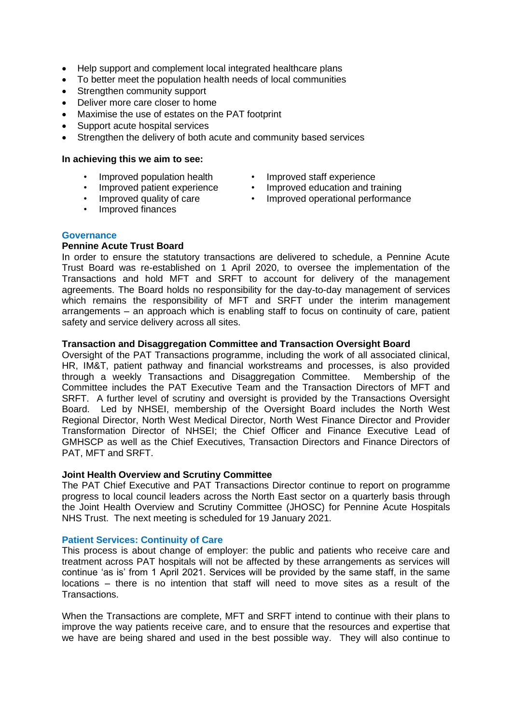- Help support and complement local integrated healthcare plans
- To better meet the population health needs of local communities
- Strengthen community support
- Deliver more care closer to home
- Maximise the use of estates on the PAT footprint
- Support acute hospital services
- Strengthen the delivery of both acute and community based services

#### **In achieving this we aim to see:**

- Improved population health
- Improved staff experience
- Improved patient experience Improved ed
- Improved education and training • Improved operational performance
	- Improved quality of care
	- Improved finances
- **Governance**

## **Pennine Acute Trust Board**

In order to ensure the statutory transactions are delivered to schedule, a Pennine Acute Trust Board was re-established on 1 April 2020, to oversee the implementation of the Transactions and hold MFT and SRFT to account for delivery of the management agreements. The Board holds no responsibility for the day-to-day management of services which remains the responsibility of MFT and SRFT under the interim management arrangements – an approach which is enabling staff to focus on continuity of care, patient safety and service delivery across all sites.

# **Transaction and Disaggregation Committee and Transaction Oversight Board**

Oversight of the PAT Transactions programme, including the work of all associated clinical, HR, IM&T, patient pathway and financial workstreams and processes, is also provided through a weekly Transactions and Disaggregation Committee. Membership of the Committee includes the PAT Executive Team and the Transaction Directors of MFT and SRFT. A further level of scrutiny and oversight is provided by the Transactions Oversight Board. Led by NHSEI, membership of the Oversight Board includes the North West Regional Director, North West Medical Director, North West Finance Director and Provider Transformation Director of NHSEI; the Chief Officer and Finance Executive Lead of GMHSCP as well as the Chief Executives, Transaction Directors and Finance Directors of PAT, MFT and SRFT.

## **Joint Health Overview and Scrutiny Committee**

The PAT Chief Executive and PAT Transactions Director continue to report on programme progress to local council leaders across the North East sector on a quarterly basis through the Joint Health Overview and Scrutiny Committee (JHOSC) for Pennine Acute Hospitals NHS Trust. The next meeting is scheduled for 19 January 2021.

### **Patient Services: Continuity of Care**

This process is about change of employer: the public and patients who receive care and treatment across PAT hospitals will not be affected by these arrangements as services will continue 'as is' from 1 April 2021. Services will be provided by the same staff, in the same locations – there is no intention that staff will need to move sites as a result of the Transactions.

When the Transactions are complete, MFT and SRFT intend to continue with their plans to improve the way patients receive care, and to ensure that the resources and expertise that we have are being shared and used in the best possible way. They will also continue to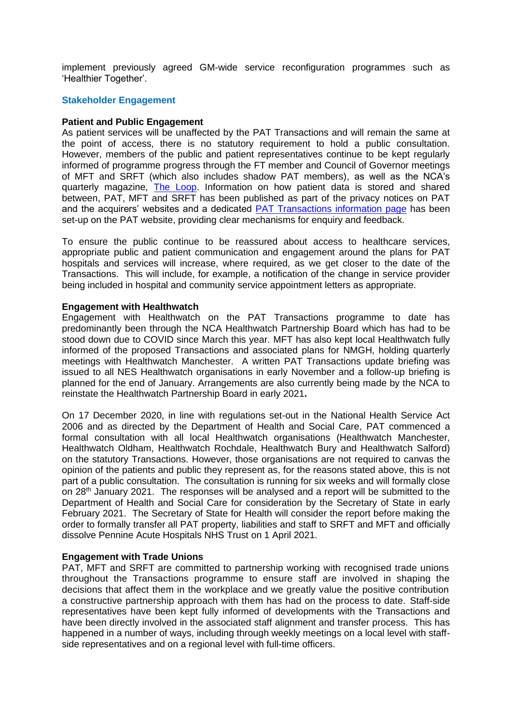implement previously agreed GM-wide service reconfiguration programmes such as 'Healthier Together'.

## **Stakeholder Engagement**

## **Patient and Public Engagement**

As patient services will be unaffected by the PAT Transactions and will remain the same at the point of access, there is no statutory requirement to hold a public consultation. However, members of the public and patient representatives continue to be kept regularly informed of programme progress through the FT member and Council of Governor meetings of MFT and SRFT (which also includes shadow PAT members), as well as the NCA's quarterly magazine, [The Loop.](https://www.pat.nhs.uk/get-involved/Loop/The%20LOOP%20Summer2020.pdf) Information on how patient data is stored and shared between, PAT, MFT and SRFT has been published as part of the privacy notices on PAT and the acquirers' websites and a dedicated [PAT Transactions information page](https://www.pat.nhs.uk/working-for-us/pat-transactions.htm) has been set-up on the PAT website, providing clear mechanisms for enquiry and feedback.

To ensure the public continue to be reassured about access to healthcare services, appropriate public and patient communication and engagement around the plans for PAT hospitals and services will increase, where required, as we get closer to the date of the Transactions. This will include, for example, a notification of the change in service provider being included in hospital and community service appointment letters as appropriate.

## **Engagement with Healthwatch**

Engagement with Healthwatch on the PAT Transactions programme to date has predominantly been through the NCA Healthwatch Partnership Board which has had to be stood down due to COVID since March this year. MFT has also kept local Healthwatch fully informed of the proposed Transactions and associated plans for NMGH, holding quarterly meetings with Healthwatch Manchester. A written PAT Transactions update briefing was issued to all NES Healthwatch organisations in early November and a follow-up briefing is planned for the end of January. Arrangements are also currently being made by the NCA to reinstate the Healthwatch Partnership Board in early 2021**.** 

On 17 December 2020, in line with regulations set-out in the National Health Service Act 2006 and as directed by the Department of Health and Social Care, PAT commenced a formal consultation with all local Healthwatch organisations (Healthwatch Manchester, Healthwatch Oldham, Healthwatch Rochdale, Healthwatch Bury and Healthwatch Salford) on the statutory Transactions. However, those organisations are not required to canvas the opinion of the patients and public they represent as, for the reasons stated above, this is not part of a public consultation. The consultation is running for six weeks and will formally close on 28th January 2021. The responses will be analysed and a report will be submitted to the Department of Health and Social Care for consideration by the Secretary of State in early February 2021. The Secretary of State for Health will consider the report before making the order to formally transfer all PAT property, liabilities and staff to SRFT and MFT and officially dissolve Pennine Acute Hospitals NHS Trust on 1 April 2021.

### **Engagement with Trade Unions**

PAT, MFT and SRFT are committed to partnership working with recognised trade unions throughout the Transactions programme to ensure staff are involved in shaping the decisions that affect them in the workplace and we greatly value the positive contribution a constructive partnership approach with them has had on the process to date. Staff-side representatives have been kept fully informed of developments with the Transactions and have been directly involved in the associated staff alignment and transfer process. This has happened in a number of ways, including through weekly meetings on a local level with staffside representatives and on a regional level with full-time officers.